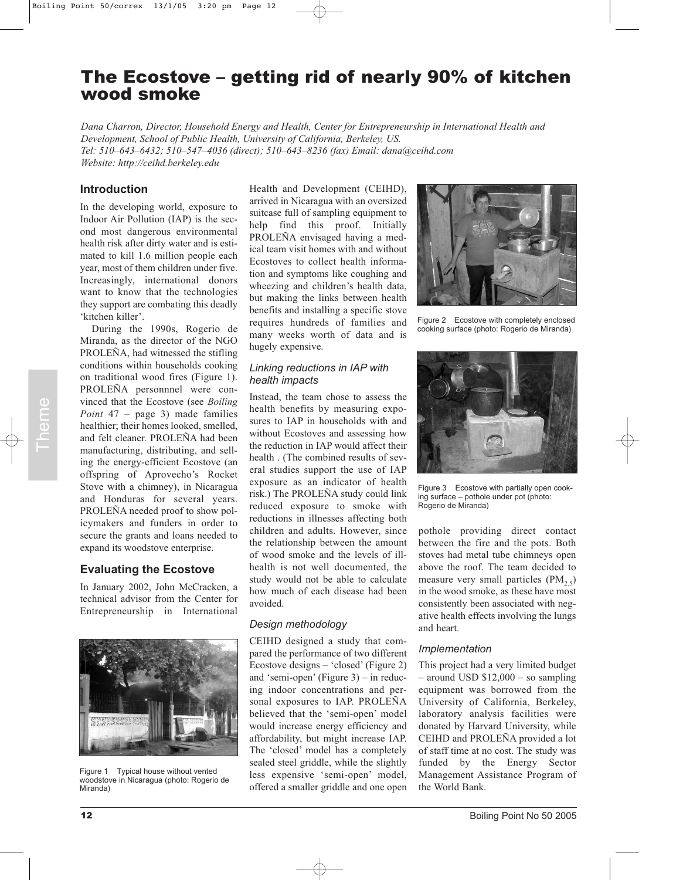# The Ecostove – getting rid of nearly 90% of kitchen wood smoke

*Dana Charron, Director, Household Energy and Health, Center for Entrepreneurship in International Health and Development, School of Public Health, University of California, Berkeley, US. Tel: 510–643–6432; 510–547–4036 (direct); 510–643–8236 (fax) Email: dana@ceihd.com Website: http://ceihd.berkeley.edu*

## **Introduction**

In the developing world, exposure to Indoor Air Pollution (IAP) is the second most dangerous environmental health risk after dirty water and is estimated to kill 1.6 million people each year, most of them children under five. Increasingly, international donors want to know that the technologies they support are combating this deadly 'kitchen killer'.

During the 1990s, Rogerio de Miranda, as the director of the NGO PROLEÑA, had witnessed the stifling conditions within households cooking on traditional wood fires (Figure 1). PROLEÑA personnnel were convinced that the Ecostove (see *Boiling Point* 47 – page 3) made families healthier; their homes looked, smelled, and felt cleaner. PROLEÑA had been manufacturing, distributing, and selling the energy-efficient Ecostove (an offspring of Aprovecho's Rocket Stove with a chimney), in Nicaragua and Honduras for several years. PROLEÑA needed proof to show policymakers and funders in order to secure the grants and loans needed to expand its woodstove enterprise.

## **Evaluating the Ecostove**

In January 2002, John McCracken, a technical advisor from the Center for Entrepreneurship in International



Figure 1 Typical house without vented woodstove in Nicaragua (photo: Rogerio de Miranda)

Health and Development (CEIHD), arrived in Nicaragua with an oversized suitcase full of sampling equipment to help find this proof. Initially PROLEÑA envisaged having a medical team visit homes with and without Ecostoves to collect health information and symptoms like coughing and wheezing and children's health data, but making the links between health benefits and installing a specific stove requires hundreds of families and many weeks worth of data and is hugely expensive.

#### *Linking reductions in IAP with health impacts*

Instead, the team chose to assess the health benefits by measuring exposures to IAP in households with and without Ecostoves and assessing how the reduction in IAP would affect their health . (The combined results of several studies support the use of IAP exposure as an indicator of health risk.) The PROLEÑA study could link reduced exposure to smoke with reductions in illnesses affecting both children and adults. However, since the relationship between the amount of wood smoke and the levels of illhealth is not well documented, the study would not be able to calculate how much of each disease had been avoided. From that Ecosiove Geology heath banefilis by meaning appear and access the Chinach Chinach and the Lemannia Cost of AP and the celection in LAP would affect their theme. FROLERA halbeen the erediction in LAP would affect

### *Design methodology*

CEIHD designed a study that compared the performance of two different Ecostove designs – 'closed' (Figure 2) and 'semi-open' (Figure 3) – in reducing indoor concentrations and personal exposures to IAP. PROLEÑA believed that the 'semi-open' model would increase energy efficiency and affordability, but might increase IAP. The 'closed' model has a completely sealed steel griddle, while the slightly less expensive 'semi-open' model, offered a smaller griddle and one open



Figure 2 Ecostove with completely enclosed cooking surface (photo: Rogerio de Miranda)



Figure 3 Ecostove with partially open cooking surface – pothole under pot (photo: Rogerio de Miranda)

pothole providing direct contact between the fire and the pots. Both stoves had metal tube chimneys open above the roof. The team decided to measure very small particles  $(PM<sub>2.5</sub>)$ in the wood smoke, as these have most consistently been associated with negative health effects involving the lungs and heart.

#### *Implementation*

This project had a very limited budget  $-$  around USD \$12,000  $-$  so sampling equipment was borrowed from the University of California, Berkeley, laboratory analysis facilities were donated by Harvard University, while CEIHD and PROLEÑA provided a lot of staff time at no cost. The study was funded by the Energy Sector Management Assistance Program of the World Bank.